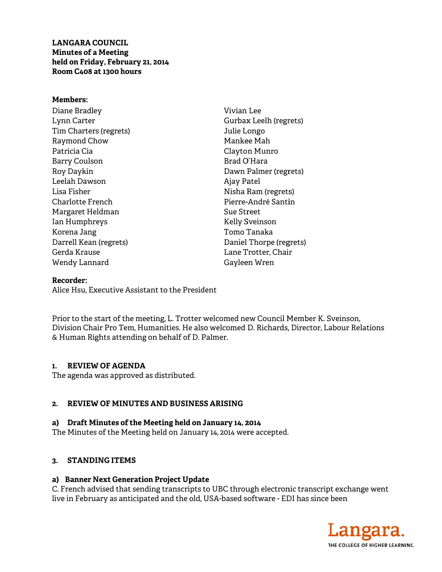LANGARA COUNCIL **Minutes of a Meetin ng held on F Friday, Febr ruary 21, 2014 4Room C4 408 at 1300 h hours** 

#### **Member s:**

Diane Br radley Lynn Carter Tim Charters (regrets) Raymond d Chow Patricia C Cia Barry Coulson Roy Dayk kin Leelah D Dawson Lisa Fish her Charlotte e French Margaret t Heldman Ian Hum mphreys Korena J Jang Darrell K Kean (regrets s) Gerda Kr rause Wendy L Lannard Vivian Lee Gurbax Leelh (regrets) Julie Longo Manke ee Mah Clayto n Munro Brad O O'Hara Dawn Palmer (regrets) Ajay Patel Nisha R Ram (regrets s) Pierre-André Santin Sue Street Kelly S Sveinson Tomo T Tanaka Daniel Thorpe (regrets) Lane T Trotter, Chai r Gayleen Wren

## **Recorder r:**

Alice Hsu, Executive Assistant to the President

Prior to the start of the meeting, L. Trotter welcomed new Council Member K. Sveinson, Division Chair Pro Tem, Humanities. He also welcomed D. Richards, Director, Labour Relations & Human Rights attending on behalf of D. Palmer.

## **1. REV VIEW OF AGE ENDA**

The agenda was approved as distributed.

## 2. REVIEW OF MINUTES AND BUSINESS ARISING

# a) Draft Minutes of the Meeting held on January 14, 2014

The Minutes of the Meeting held on January 14, 2014 were accepted.

## **3. STA ANDING ITE EMS**

#### a) Banner Next Generation Project Update

C. French advised that sending transcripts to UBC through electronic transcript exchange went live in February as anticipated and the old, USA-based software - EDI has since been

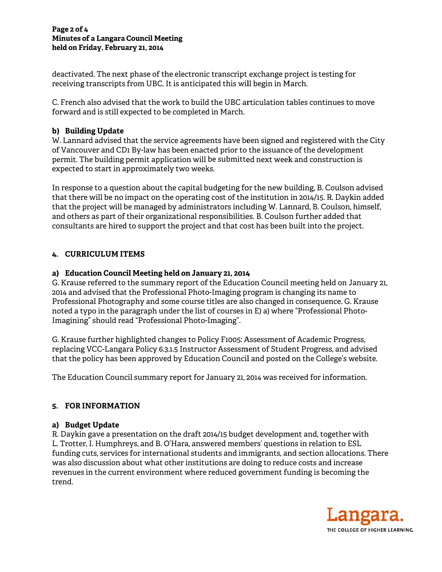#### **Page 2 of f 4 Minutes o of a Langara a Council Mee eting held on F Friday, Febru uary 21, 2014**

deactivated. The next phase of the electronic transcript exchange project is testing for receiving transcripts from UBC. It is anticipated this will begin in March.

C. French also advised that the work to build the UBC articulation tables continues to move forward and is still e xpected to b be completed d in March. C. French also advised that the work to build the UBC articulation tables continues to move<br>forward and is still expected to be completed in March.<br>**b) Building Update**<br>W. Lannard advised that the service agreements have

# **b) Build ding Update**

of Vancouver and CD1 By-law has been enacted prior to the issuance of the development permit. The building permit application will be submitted next week and construction is expected to start in approximately two weeks.

In response to a question about the capital budgeting for the new building, B. Coulson advised that there will be no impact on the operating cost of the institution in 2014/15. R. Daykin added that the project will be managed by administrators including W. Lannard, B. Coulson, himself, and others as part of their organizational responsibilities. B. Coulson further added that consulta nts are hired d to support t the project and that co st has been built into th he project.

# **4. CURR RICULUM IT TEMS**

# **a) Educ cation Counc cil Meeting h held on Janu uary 21, 2014 4**

G. Krause referred to the summary report of the Education Council meeting held on January 21, 2014 and advised that the Professional Photo-Imaging program is changing its name to Professional Photography and some course titles are also changed in consequence. G. Krause noted a typo in the paragraph under the list of courses in E) a) where "Professional Photo-Imagining" should read "Professional Photo-Imaging".

G. Krause further highlighted changes to Policy F1005: Assessment of Academic Progress, replacing VCC-Langara Policy 6.3.1.5 Instructor Assessment of Student Progress, and advised that the policy has been approved by Education Council and posted on the College's website.

The Education Council summary report for January 21, 2014 was received for information.

# **5. FOR I INFORMAT TION**

# **a) Budg get Update**

R. Daykin gave a presentation on the draft 2014/15 budget development and, together with L. Trotter, I. Humphreys, and B. O'Hara, answered members' questions in relation to ESL funding cuts, services for international students and immigrants, and section allocations. There was also discussion about what other institutions are doing to reduce costs and increase revenues in the current environment where reduced government funding is becoming the trend.

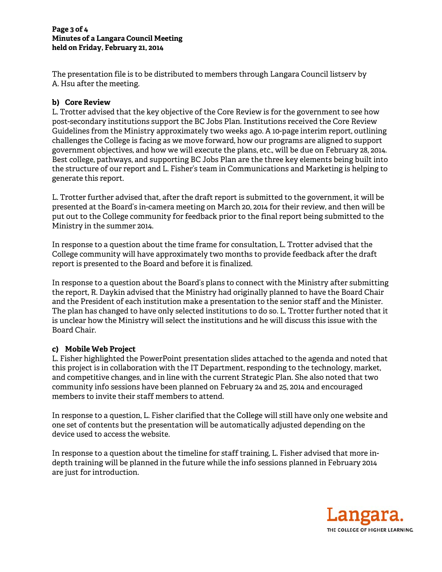#### **Page 3 of f 4 Minutes o of a Langara a Council Mee eting held on F Friday, Febru uary 21, 2014**

The presentation file is to be distributed to members through Langara Council listserv by A. Hsu af fter the mee ting.

# **b) Core Review**

L. Trotter advised that the key objective of the Core Review is for the government to see how post-secondary institutions support the BC Jobs Plan. Institutions received the Core Review post-secondary institutions support the BC Jobs Plan. Institutions received the Core Review<br>Guidelines from the Ministry approximately two weeks ago. A 10-page interim report, outlining challenges the College is facing as we move forward, how our programs are aligned to support government objectives, and how we will execute the plans, etc., will be due on February 28, 2014. Best college, pathways, and supporting BC Jobs Plan are the three key elements being built into the structure of our report and L. Fisher's team in Communications and Marketing is helping to generate this report.

L. Trotter further advised that, after the draft report is submitted to the government, it will be presented at the Board's in-camera meeting on March 20, 2014 for their review, and then will be put out to the College community for feedback prior to the final report being submitted to the Ministry y in the summ mer 2014.

In response to a question about the time frame for consultation, L. Trotter advised that the In response to a question about the time frame for consultation, L. Trotter advised that the<br>College community will have approximately two months to provide feedback after the draft report is presented to the Board and before it is finalized.

In response to a question about the Board's plans to connect with the Ministry after submitting the report, R. Daykin advised that the Ministry had originally planned to have the Board Chair and the President of each institution make a presentation to the senior staff and the Minister. The plan has changed to have only selected institutions to do so. L. Trotter further noted that it is unclear how the Ministry will select the institutions and he will discuss this issue with the Board Ch hair.

## **c) Mobi ile Web Proj ject**

L. Fisher highlighted the PowerPoint presentation slides attached to the agenda and noted that this project is in collaboration with the IT Department, responding to the technology, market, and competitive changes, and in line with the current Strategic Plan. She also noted that two community info sessions have been planned on February 24 and 25, 2014 and encouraged members to invite their staff members to attend.

In response to a question, L. Fisher clarified that the College will still have only one website and one set of contents but the presentation will be automatically adjusted depending on the device used to access the website.

In response to a question about the timeline for staff training, L. Fisher advised that more indepth training will be planned in the future while the info sessions planned in February 2014 are just for introduction.